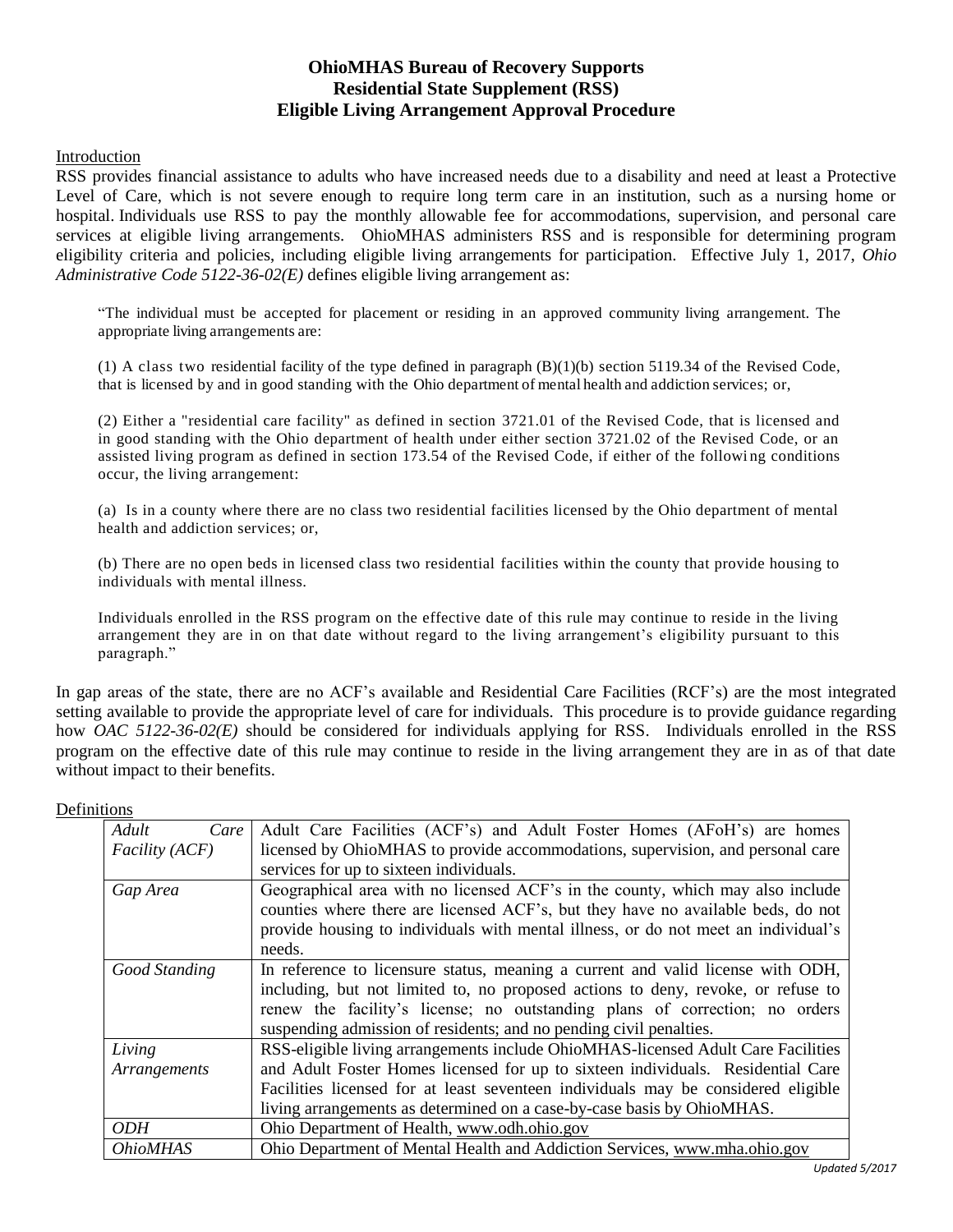# **OhioMHAS Bureau of Recovery Supports Residential State Supplement (RSS) Eligible Living Arrangement Approval Procedure**

#### Introduction

RSS provides financial assistance to adults who have increased needs due to a disability and need at least a Protective Level of Care, which is not severe enough to require long term care in an institution, such as a nursing home or hospital. Individuals use RSS to pay the monthly allowable fee for accommodations, supervision, and personal care services at eligible living arrangements. OhioMHAS administers RSS and is responsible for determining program eligibility criteria and policies, including eligible living arrangements for participation. Effective July 1, 2017, *Ohio Administrative Code 5122-36-02(E)* defines eligible living arrangement as:

"The individual must be accepted for placement or residing in an approved community living arrangement. The appropriate living arrangements are:

(1) A class two residential facility of the type defined in paragraph (B)(1)(b) section [5119.34 o](http://codes.ohio.gov/orc/5119.34)f the Revised Code, that is licensed by and in good standing with the Ohio department of mental health and addiction services; or,

(2) Either a "residential care facility" as defined in section 3721.01 of the Revised Code, that is licensed and in good standing with the Ohio department of health under either section 3721.02 of the Revised Code, or an assisted living program as defined in section 173.54 of the Revised Code, if either of the followi ng conditions occur, the living arrangement:

(a) Is in a county where there are no class two residential facilities licensed by the Ohio department of mental health and addiction services; or,

(b) There are no open beds in licensed class two residential facilities within the county that provide housing to individuals with mental illness.

Individuals enrolled in the RSS program on the effective date of this rule may continue to reside in the living arrangement they are in on that date without regard to the living arrangement's eligibility pursuant to this paragraph."

In gap areas of the state, there are no ACF's available and Residential Care Facilities (RCF's) are the most integrated setting available to provide the appropriate level of care for individuals. This procedure is to provide guidance regarding how *OAC 5122-36-02(E)* should be considered for individuals applying for RSS. Individuals enrolled in the RSS program on the effective date of this rule may continue to reside in the living arrangement they are in as of that date without impact to their benefits.

| Adult<br>Care         | Adult Care Facilities (ACF's) and Adult Foster Homes (AFoH's) are homes            |
|-----------------------|------------------------------------------------------------------------------------|
| <i>Facility (ACF)</i> | licensed by OhioMHAS to provide accommodations, supervision, and personal care     |
|                       | services for up to sixteen individuals.                                            |
| Gap Area              | Geographical area with no licensed ACF's in the county, which may also include     |
|                       | counties where there are licensed ACF's, but they have no available beds, do not   |
|                       | provide housing to individuals with mental illness, or do not meet an individual's |
|                       | needs.                                                                             |
| Good Standing         | In reference to licensure status, meaning a current and valid license with ODH,    |
|                       | including, but not limited to, no proposed actions to deny, revoke, or refuse to   |
|                       | renew the facility's license; no outstanding plans of correction; no orders        |
|                       | suspending admission of residents; and no pending civil penalties.                 |
| Living                | RSS-eligible living arrangements include OhioMHAS-licensed Adult Care Facilities   |
| Arrangements          | and Adult Foster Homes licensed for up to sixteen individuals. Residential Care    |
|                       | Facilities licensed for at least seventeen individuals may be considered eligible  |
|                       | living arrangements as determined on a case-by-case basis by OhioMHAS.             |
| <i>ODH</i>            | Ohio Department of Health, www.odh.ohio.gov                                        |
| <b>OhioMHAS</b>       | Ohio Department of Mental Health and Addiction Services, www.mha.ohio.gov          |

#### Definitions